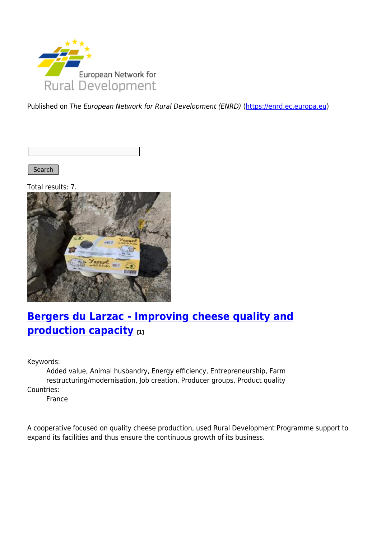

Published on The European Network for Rural Development (ENRD) [\(https://enrd.ec.europa.eu](https://enrd.ec.europa.eu))

Search

Total results: 7.



## **[Bergers du Larzac - Improving cheese quality and](https://enrd.ec.europa.eu/projects-practice/bergers-du-larzac-improving-cheese-quality-and-production-capacity_en) [production capacity](https://enrd.ec.europa.eu/projects-practice/bergers-du-larzac-improving-cheese-quality-and-production-capacity_en) [1]**

Keywords:

Added value, Animal husbandry, Energy efficiency, Entrepreneurship, Farm restructuring/modernisation, Job creation, Producer groups, Product quality Countries:

France

A cooperative focused on quality cheese production, used Rural Development Programme support to expand its facilities and thus ensure the continuous growth of its business.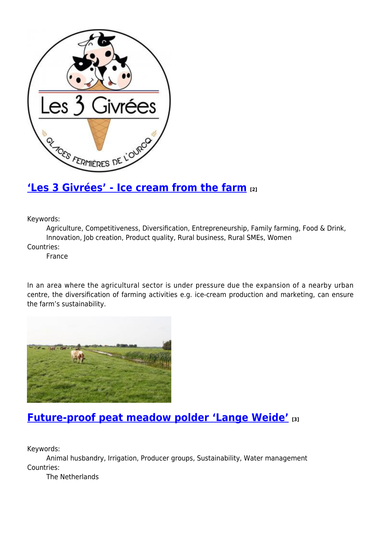

### **['Les 3 Givrées' - Ice cream from the farm](https://enrd.ec.europa.eu/projects-practice/les-3-givrees-ice-cream-farm_en) [2]**

Keywords:

Agriculture, Competitiveness, Diversification, Entrepreneurship, Family farming, Food & Drink, Innovation, Job creation, Product quality, Rural business, Rural SMEs, Women

Countries:

France

In an area where the agricultural sector is under pressure due the expansion of a nearby urban centre, the diversification of farming activities e.g. ice-cream production and marketing, can ensure the farm's sustainability.



## **[Future-proof peat meadow polder 'Lange Weide'](https://enrd.ec.europa.eu/projects-practice/future-proof-peat-meadow-polder-lange-weide_en) [3]**

Keywords:

Animal husbandry, Irrigation, Producer groups, Sustainability, Water management Countries:

The Netherlands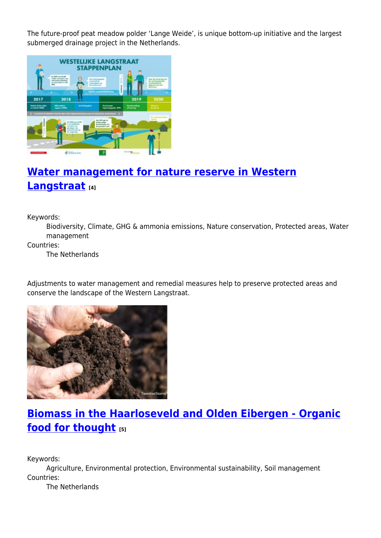The future-proof peat meadow polder 'Lange Weide', is unique bottom-up initiative and the largest submerged drainage project in the Netherlands.



## **[Water management for nature reserve in Western](https://enrd.ec.europa.eu/projects-practice/water-management-nature-reserve-western-langstraat_en) [Langstraat](https://enrd.ec.europa.eu/projects-practice/water-management-nature-reserve-western-langstraat_en) [4]**

Keywords:

Biodiversity, Climate, GHG & ammonia emissions, Nature conservation, Protected areas, Water management

Countries:

The Netherlands

Adjustments to water management and remedial measures help to preserve protected areas and conserve the landscape of the Western Langstraat.



# **[Biomass in the Haarloseveld and Olden Eibergen - Organic](https://enrd.ec.europa.eu/projects-practice/biomass-haarloseveld-and-olden-eibergen-organic-food-thought_en) [food for thought](https://enrd.ec.europa.eu/projects-practice/biomass-haarloseveld-and-olden-eibergen-organic-food-thought_en) [5]**

Keywords:

Agriculture, Environmental protection, Environmental sustainability, Soil management Countries:

The Netherlands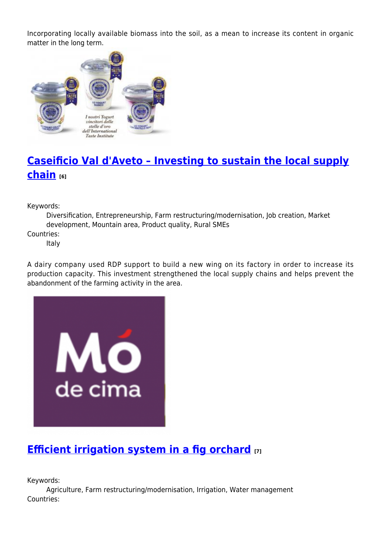Incorporating locally available biomass into the soil, as a mean to increase its content in organic matter in the long term.



## **[Caseificio Val d'Aveto – Investing to sustain the local supply](https://enrd.ec.europa.eu/projects-practice/caseificio-val-daveto-investing-sustain-local-supply-chain_en) [chain](https://enrd.ec.europa.eu/projects-practice/caseificio-val-daveto-investing-sustain-local-supply-chain_en) [6]**

Keywords:

Diversification, Entrepreneurship, Farm restructuring/modernisation, Job creation, Market development, Mountain area, Product quality, Rural SMEs

Countries:

Italy

A dairy company used RDP support to build a new wing on its factory in order to increase its production capacity. This investment strengthened the local supply chains and helps prevent the abandonment of the farming activity in the area.



# **[Efficient irrigation system in a fig orchard](https://enrd.ec.europa.eu/projects-practice/efficient-irrigation-system-fig-orchard_en) [7]**

Keywords:

Agriculture, Farm restructuring/modernisation, Irrigation, Water management Countries: